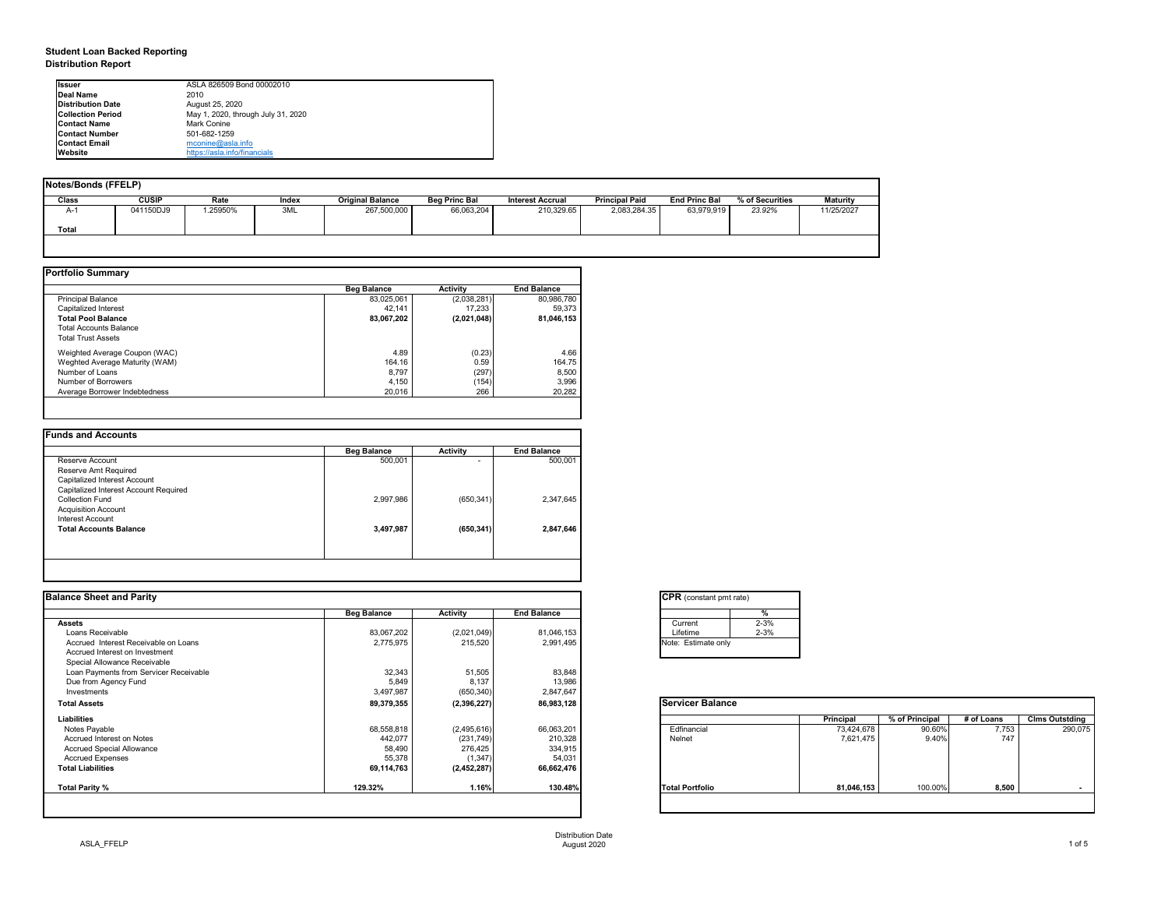## **Student Loan Backed Reporting Distribution Report**

| Notes/Bonds (FFELP) |              |         |       |                         |                      |                         |                       |                      |                 |                 |
|---------------------|--------------|---------|-------|-------------------------|----------------------|-------------------------|-----------------------|----------------------|-----------------|-----------------|
| <b>Class</b>        | <b>CUSIP</b> | Rate    | Index | <b>Original Balance</b> | <b>Beg Princ Bal</b> | <b>Interest Accrual</b> | <b>Principal Paid</b> | <b>End Princ Bal</b> | % of Securities | <b>Maturity</b> |
| A-1                 | 041150DJ9    | .25950% | 3ML   | 267,500,000             | 66,063,204           | 210,329.65              | 2,083,284.35          | 63,979,919           | 23.92%          | 11/25/2027      |
| <b>Total</b>        |              |         |       |                         |                      |                         |                       |                      |                 |                 |
|                     |              |         |       |                         |                      |                         |                       |                      |                 |                 |

|                                | <b>Beg Balance</b> | <b>Activity</b> | <b>End Balance</b> |
|--------------------------------|--------------------|-----------------|--------------------|
| <b>Principal Balance</b>       | 83,025,061         | (2,038,281)     | 80,986,780         |
| Capitalized Interest           | 42,141             | 17,233          | 59,373             |
| <b>Total Pool Balance</b>      | 83,067,202         | (2,021,048)     | 81,046,153         |
| <b>Total Accounts Balance</b>  |                    |                 |                    |
| <b>Total Trust Assets</b>      |                    |                 |                    |
| Weighted Average Coupon (WAC)  | 4.89               | (0.23)          | 4.66               |
| Weghted Average Maturity (WAM) | 164.16             | 0.59            | 164.75             |
| Number of Loans                | 8,797              | (297)           | 8,500              |
| Number of Borrowers            | 4,150              | (154)           | 3,996              |
| Average Borrower Indebtedness  | 20,016             | 266             | 20,282             |

| <b>Funds and Accounts</b>             |                    |                          |                    |
|---------------------------------------|--------------------|--------------------------|--------------------|
|                                       | <b>Beg Balance</b> | <b>Activity</b>          | <b>End Balance</b> |
| Reserve Account                       | 500,001            | $\overline{\phantom{0}}$ | 500,001            |
| Reserve Amt Required                  |                    |                          |                    |
| Capitalized Interest Account          |                    |                          |                    |
| Capitalized Interest Account Required |                    |                          |                    |
| <b>Collection Fund</b>                | 2,997,986          | (650, 341)               | 2,347,645          |
| <b>Acquisition Account</b>            |                    |                          |                    |
| Interest Account                      |                    |                          |                    |
| <b>Total Accounts Balance</b>         | 3,497,987          | (650, 341)               | 2,847,646          |
|                                       |                    |                          |                    |
|                                       |                    |                          |                    |
|                                       |                    |                          |                    |

| <b>Balance Sheet and Parity</b> |  |
|---------------------------------|--|
|---------------------------------|--|

| <b>Ilssuer</b>            | ASLA 826509 Bond 00002010          |
|---------------------------|------------------------------------|
| <b>IDeal Name</b>         | 2010                               |
| <b>IDistribution Date</b> | August 25, 2020                    |
| <b>Collection Period</b>  | May 1, 2020, through July 31, 2020 |
| <b>IContact Name</b>      | <b>Mark Conine</b>                 |
| <b>IContact Number</b>    | 501-682-1259                       |
| <b>Contact Email</b>      | $m$ conine@asla.info               |
| <b>IWebsite</b>           | https://asla.info/financials       |

| <b>Activity</b><br>83,067,202<br>(2,021,049)<br>2,775,975<br>215,520<br>32,343<br>51,505<br>5,849<br>8,137<br>3,497,987<br>(650, 340) | <b>End Balance</b><br>81,046,153<br>2,991,495<br>83,848<br>13,986<br>2,847,647 | %<br>$2 - 3%$<br>Current<br>$2 - 3%$<br>Lifetime<br>Note: Estimate only |            |                |            |                       |
|---------------------------------------------------------------------------------------------------------------------------------------|--------------------------------------------------------------------------------|-------------------------------------------------------------------------|------------|----------------|------------|-----------------------|
|                                                                                                                                       |                                                                                |                                                                         |            |                |            |                       |
|                                                                                                                                       |                                                                                |                                                                         |            |                |            |                       |
|                                                                                                                                       |                                                                                |                                                                         |            |                |            |                       |
|                                                                                                                                       |                                                                                |                                                                         |            |                |            |                       |
|                                                                                                                                       |                                                                                |                                                                         |            |                |            |                       |
|                                                                                                                                       |                                                                                |                                                                         |            |                |            |                       |
|                                                                                                                                       |                                                                                |                                                                         |            |                |            |                       |
|                                                                                                                                       |                                                                                |                                                                         |            |                |            |                       |
|                                                                                                                                       |                                                                                |                                                                         |            |                |            |                       |
| 89,379,355<br>(2,396,227)                                                                                                             | 86,983,128                                                                     | <b>Servicer Balance</b>                                                 |            |                |            |                       |
|                                                                                                                                       |                                                                                |                                                                         | Principal  | % of Principal | # of Loans | <b>Clms Outstding</b> |
| (2,495,616)                                                                                                                           | 66,063,201                                                                     | Edfinancial                                                             | 73,424,678 | 90.60%         | 7,753      | 290,075               |
| (231, 749)                                                                                                                            | 210,328                                                                        | Nelnet                                                                  | 7,621,475  | 9.40%          | 747        |                       |
| 276,425                                                                                                                               | 334,915                                                                        |                                                                         |            |                |            |                       |
| (1, 347)                                                                                                                              | 54,031                                                                         |                                                                         |            |                |            |                       |
| (2,452,287)                                                                                                                           | 66,662,476                                                                     |                                                                         |            |                |            |                       |
|                                                                                                                                       | 130.48%                                                                        | <b>Total Portfolio</b>                                                  | 81,046,153 | 100.00%        | 8,500      | $\sim$                |
|                                                                                                                                       | 68,558,818<br>442,077<br>58,490<br>55,378<br>69,114,763<br>1.16%               |                                                                         |            |                |            |                       |

| <b>CPR</b> (cons |          |  |  |  |  |  |  |  |
|------------------|----------|--|--|--|--|--|--|--|
|                  |          |  |  |  |  |  |  |  |
| Current          |          |  |  |  |  |  |  |  |
|                  | Lifetime |  |  |  |  |  |  |  |
| Note: Estin      |          |  |  |  |  |  |  |  |

| tant pmt rate) |          |  |  |  |  |  |  |
|----------------|----------|--|--|--|--|--|--|
|                | %        |  |  |  |  |  |  |
|                | $2 - 3%$ |  |  |  |  |  |  |
|                | $2 - 3%$ |  |  |  |  |  |  |
| ate only       |          |  |  |  |  |  |  |
|                |          |  |  |  |  |  |  |

|     | <b>Principal</b> | % of Principal | # of Loans | <b>Clms Outstding</b> |
|-----|------------------|----------------|------------|-----------------------|
|     | 73,424,678       | 90.60%         | 7,753      | 290,075               |
|     | 7,621,475        | 9.40%          | 747        |                       |
|     |                  |                |            |                       |
|     |                  |                |            |                       |
|     |                  |                |            |                       |
|     |                  |                |            |                       |
| lio | 81,046,153       | 100.00%        | 8,500      |                       |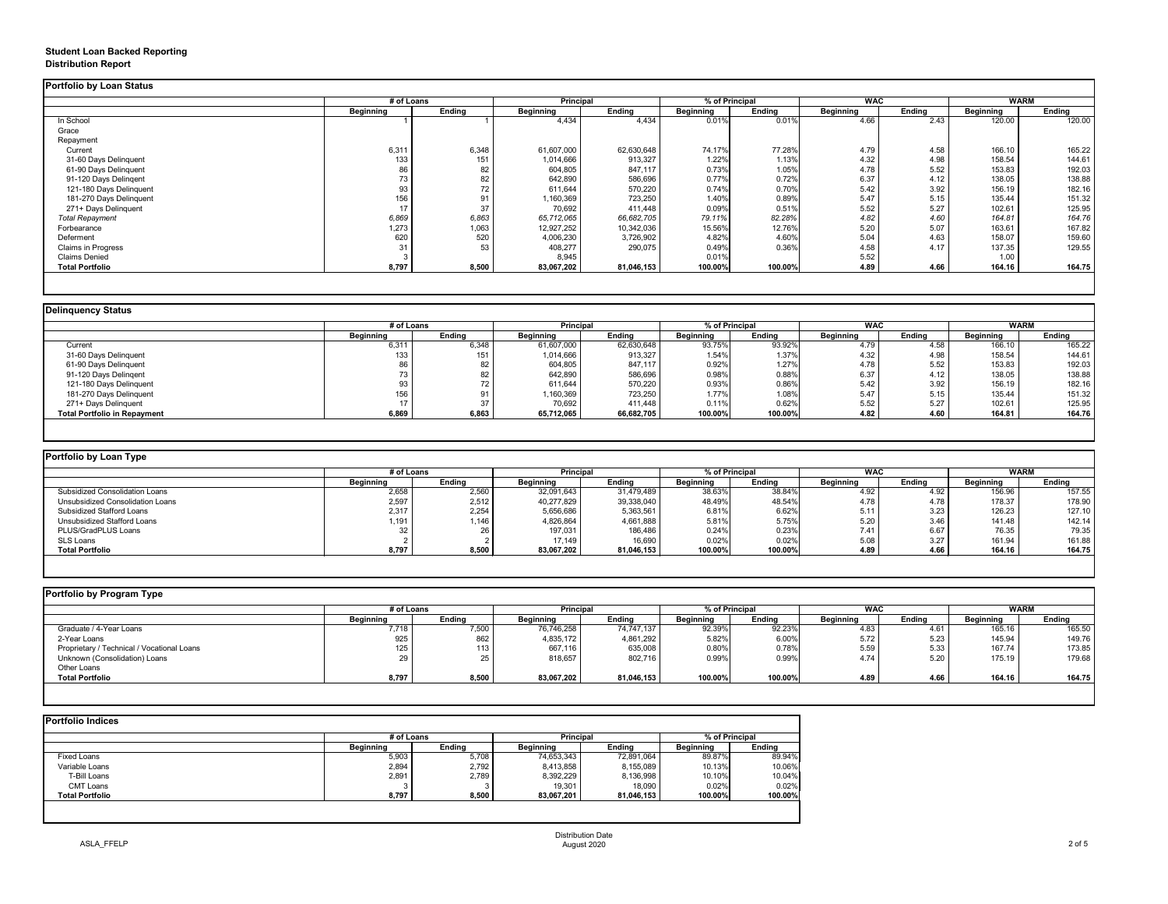## **Student Loan Backed Reporting Distribution Report**

|                           |                  | # of Loans    |                  | <b>Principal</b> |                  | % of Principal |                  | <b>WAC</b>    |                  | <b>WARM</b>   |
|---------------------------|------------------|---------------|------------------|------------------|------------------|----------------|------------------|---------------|------------------|---------------|
|                           | <b>Beginning</b> | <b>Ending</b> | <b>Beginning</b> | <b>Ending</b>    | <b>Beginning</b> | <b>Ending</b>  | <b>Beginning</b> | <b>Ending</b> | <b>Beginning</b> | <b>Ending</b> |
| In School                 |                  |               | 4,434            | 4,434            | 0.01%            | 0.01%          | 4.66             | 2.43          | 120.00           | 120.00        |
| Grace                     |                  |               |                  |                  |                  |                |                  |               |                  |               |
| Repayment                 |                  |               |                  |                  |                  |                |                  |               |                  |               |
| Current                   | 6,311            | 6,348         | 61,607,000       | 62,630,648       | 74.17%           | 77.28%         | 4.79             | 4.58          | 166.10           | 165.22        |
| 31-60 Days Delinquent     | 133              | 151           | 1,014,666        | 913,327          | 1.22%            | 1.13%          | 4.32             | 4.98          | 158.54           | 144.61        |
| 61-90 Days Delinquent     | 86               | 82            | 604,805          | 847,117          | 0.73%            | 1.05%          | 4.78             | 5.52          | 153.83           | 192.03        |
| 91-120 Days Delingent     | 73               | 82            | 642,890          | 586,696          | 0.77%            | 0.72%          | 6.37             | 4.12          | 138.05           | 138.88        |
| 121-180 Days Delinquent   | 93               | 72            | 611,644          | 570,220          | 0.74%            | 0.70%          | 5.42             | 3.92          | 156.19           | 182.16        |
| 181-270 Days Delinquent   | 156              | 91            | 1,160,369        | 723,250          | 1.40%            | 0.89%          | 5.47             | 5.15          | 135.44           | 151.32        |
| 271+ Days Delinquent      | 17               | 37            | 70,692           | 411,448          | 0.09%            | 0.51%          | 5.52             | 5.27          | 102.61           | 125.95        |
| <b>Total Repayment</b>    | 6,869            | 6,863         | 65,712,065       | 66,682,705       | 79.11%           | 82.28%         | 4.82             | 4.60          | 164.81           | 164.76        |
| Forbearance               | 1,273            | 1,063         | 12,927,252       | 10,342,036       | 15.56%           | 12.76%         | 5.20             | 5.07          | 163.61           | 167.82        |
| Deferment                 | 620              | 520           | 4,006,230        | 3,726,902        | 4.82%            | 4.60%          | 5.04             | 4.63          | 158.07           | 159.60        |
| <b>Claims in Progress</b> | 31               | 53            | 408,277          | 290,075          | 0.49%            | 0.36%          | 4.58             | 4.17          | 137.35           | 129.55        |
| <b>Claims Denied</b>      |                  |               | 8,945            |                  | 0.01%            |                | 5.52             |               | 1.00             |               |
| <b>Total Portfolio</b>    | 8,797            | 8,500         | 83,067,202       | 81,046,153       | 100.00%          | 100.00%        | 4.89             | 4.66          | 164.16           | 164.75        |

| <b>Delinquency Status</b>           |                  |               |                  |                  |                  |                |                  |               |                  |               |
|-------------------------------------|------------------|---------------|------------------|------------------|------------------|----------------|------------------|---------------|------------------|---------------|
|                                     |                  | # of Loans    |                  | <b>Principal</b> |                  | % of Principal |                  | <b>WAC</b>    |                  | <b>WARM</b>   |
|                                     | <b>Beginning</b> | <b>Ending</b> | <b>Beginning</b> | <b>Ending</b>    | <b>Beginning</b> | <b>Ending</b>  | <b>Beginning</b> | <b>Ending</b> | <b>Beginning</b> | <b>Ending</b> |
| Current                             | 6,311            | 6,348         | 61,607,000       | 62,630,648       | 93.75%           | 93.92%         | 4.79             | 4.58          | 166.10           | 165.22        |
| 31-60 Days Delinquent               | 133              | 151           | 1,014,666        | 913,327          | 1.54%            | 1.37%          | 4.32             | 4.98          | 158.54           | 144.61        |
| 61-90 Days Delinquent               | 86               | 82            | 604,805          | 847,117          | 0.92%            | 1.27%          | 4.78             | 5.52          | 153.83           | 192.03        |
| 91-120 Days Delingent               |                  | 82            | 642,890          | 586,696          | 0.98%            | 0.88%          | 6.37             | 4.12          | 138.05           | 138.88        |
| 121-180 Days Delinquent             |                  |               | 611,644          | 570,220          | 0.93%            | 0.86%          | 5.42             | 3.92          | 156.19           | 182.16        |
| 181-270 Days Delinquent             | 156              |               | 1,160,369        | 723,250          | 1.77%            | 1.08%          | 5.47             | 5.15          | 135.44           | 151.32        |
| 271+ Days Delinquent                |                  | 37            | 70,692           | 411,448          | 0.11%            | 0.62%          | 5.52             | 5.27          | 102.61           | 125.95        |
| <b>Total Portfolio in Repayment</b> | 6,869            | 6,863         | 65,712,065       | 66,682,705       | 100.00%          | 100.00%        | 4.82             | 4.60          | 164.81           | 164.76        |
|                                     |                  |               |                  |                  |                  |                |                  |               |                  |               |

| ortfolio by Loan Type                   |                  |        |                  |            |                  |               |                  |        |                  |               |
|-----------------------------------------|------------------|--------|------------------|------------|------------------|---------------|------------------|--------|------------------|---------------|
|                                         | # of Loans       |        | <b>Principal</b> |            | % of Principal   |               | <b>WAC</b>       |        | WARM             |               |
|                                         | <b>Beginning</b> | Ending | <b>Beginning</b> | Ending     | <b>Beginning</b> | <b>Ending</b> | <b>Beginning</b> | Ending | <b>Beginning</b> | <b>Ending</b> |
| <b>Subsidized Consolidation Loans</b>   | 2,658            | 2,560  | 32,091,643       | 31,479,489 | 38.63%           | 38.84%        | 4.92             | 4.92   | 156.96           | 157.55        |
| <b>Unsubsidized Consolidation Loans</b> | 2,597            | 2,512  | 40,277,829       | 39,338,040 | 48.49%           | 48.54%        | 4.78             | 4.78   | 178.37           | 178.90        |
| <b>Subsidized Stafford Loans</b>        | 2,317            | 2,254  | 5,656,686        | 5,363,561  | 6.81%            | 6.62%         | 5.11             | 3.23   | 126.23           | 127.10        |
| <b>Unsubsidized Stafford Loans</b>      | ,191             | 1,146  | 4,826,864        | 4,661,888  | 5.81%            | 5.75%         | 5.20             | 3.46   | 141.48           | 142.14        |
| PLUS/GradPLUS Loans                     | 32               |        | 197,031          | 186,486    | 0.24%            | 0.23%         | 7.41             | 6.67   | 76.35            | 79.35         |
| SLS Loans                               |                  |        | 17,149           | 16,690     | 0.02%            | 0.02%         | 5.08             | 3.27   | 161.94           | 161.88        |
| <b>Total Portfolio</b>                  | 8,797            | 8,500  | 83,067,202       | 81,046,153 | 100.00%          | 100.00%       | 4.89             | 4.66   | 164.16           | 164.75        |

| Portfolio by Program Type                  |                  |                  |                  |                  |                  |                |                  |               |                  |               |  |
|--------------------------------------------|------------------|------------------|------------------|------------------|------------------|----------------|------------------|---------------|------------------|---------------|--|
|                                            |                  | # of Loans       |                  | <b>Principal</b> |                  | % of Principal |                  | <b>WAC</b>    |                  | <b>WARM</b>   |  |
|                                            | <b>Beginning</b> | <b>Ending</b>    | <b>Beginning</b> | Ending           | <b>Beginning</b> | <b>Ending</b>  | <b>Beginning</b> | Ending        | <b>Beginning</b> | <b>Ending</b> |  |
| Graduate / 4-Year Loans                    | 7,718            | 7,500            | 76,746,258       | 74,747,137       | 92.39%           | 92.23%         | 4.83             | $4.6^{\circ}$ | 165.16           | 165.50        |  |
| 2-Year Loans                               | 925              | 862              | 4,835,172        | 4,861,292        | 5.82%            | 6.00%          | 5.72             | 5.23          | 145.94           | 149.76        |  |
| Proprietary / Technical / Vocational Loans | 125              | 113 <sub>1</sub> | 667,116          | 635,008          | 0.80%            | 0.78%          | 5.59             | 5.33          | 167.74           | 173.85        |  |
| Unknown (Consolidation) Loans              | ററ<br>29.        | 25               | 818,657          | 802,716          | 0.99%            | 0.99%          | 4.74             | 5.20          | 175.19           | 179.68        |  |
| Other Loans                                |                  |                  |                  |                  |                  |                |                  |               |                  |               |  |
| <b>Total Portfolio</b>                     | 8,797            | 8,500            | 83,067,202       | 81,046,153       | 100.00%          | 100.00%        | 4.89             | 4.66          | 164.16           | 164.75        |  |
|                                            |                  |                  |                  |                  |                  |                |                  |               |                  |               |  |

|                        |                  | # of Loans    |                  |               | % of Principal   |               |
|------------------------|------------------|---------------|------------------|---------------|------------------|---------------|
|                        | <b>Beginning</b> | <b>Ending</b> | <b>Beginning</b> | <b>Ending</b> | <b>Beginning</b> | <b>Ending</b> |
| <b>Fixed Loans</b>     | 5,903            | 5,708         | 74,653,343       | 72,891,064    | 89.87%           | 89.94%        |
| Variable Loans         | 2,894            | 2,792         | 8,413,858        | 8,155,089     | 10.13%           | 10.06%        |
| T-Bill Loans           | 2,891            | 2,789         | 8,392,229        | 8,136,998     | 10.10%           | 10.04%        |
| <b>CMT Loans</b>       |                  |               | 19,301           | 18,090        | 0.02%            | 0.02%         |
| <b>Total Portfolio</b> | 8,797            | 8,500         | 83,067,201       | 81,046,153    | 100.00%          | 100.00%       |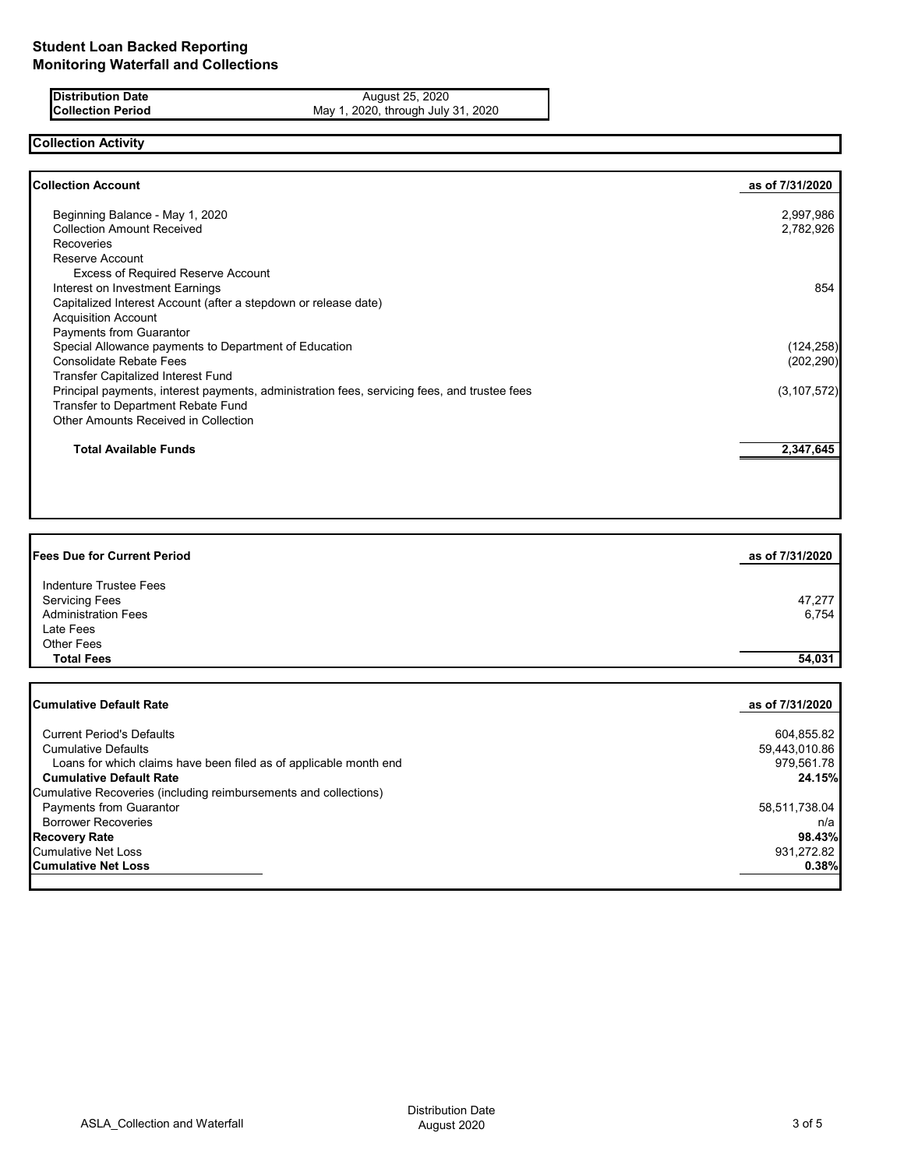**Distribution Date** August 25, 2020 **Collection Period** May 1, 2020, through July 31, 2020

# **Collection Activity**

| <b>Collection Account</b>                                                                    | as of 7/31/2020 |
|----------------------------------------------------------------------------------------------|-----------------|
| Beginning Balance - May 1, 2020                                                              | 2,997,986       |
| <b>Collection Amount Received</b>                                                            | 2,782,926       |
| Recoveries                                                                                   |                 |
| Reserve Account                                                                              |                 |
| <b>Excess of Required Reserve Account</b>                                                    |                 |
| Interest on Investment Earnings                                                              | 854             |
| Capitalized Interest Account (after a stepdown or release date)                              |                 |
| <b>Acquisition Account</b>                                                                   |                 |
| <b>Payments from Guarantor</b>                                                               |                 |
| Special Allowance payments to Department of Education                                        | (124, 258)      |
| <b>Consolidate Rebate Fees</b>                                                               | (202, 290)      |
| <b>Transfer Capitalized Interest Fund</b>                                                    |                 |
| Principal payments, interest payments, administration fees, servicing fees, and trustee fees | (3, 107, 572)   |
| Transfer to Department Rebate Fund                                                           |                 |
| Other Amounts Received in Collection                                                         |                 |
| <b>Total Available Funds</b>                                                                 | 2,347,645       |
|                                                                                              |                 |

| <b>Fees Due for Current Period</b>                                | as of 7/31/2020 |
|-------------------------------------------------------------------|-----------------|
| Indenture Trustee Fees                                            |                 |
| <b>Servicing Fees</b>                                             | 47,277          |
| <b>Administration Fees</b>                                        | 6,754           |
| Late Fees                                                         |                 |
| <b>Other Fees</b>                                                 |                 |
| <b>Total Fees</b>                                                 | 54,031          |
| <b>Cumulative Default Rate</b>                                    | as of 7/31/2020 |
| <b>Current Period's Defaults</b>                                  | 604,855.82      |
| <b>Cumulative Defaults</b>                                        | 59,443,010.86   |
| Loans for which claims have been filed as of applicable month end | 979,561.78      |
| <b>Cumulative Default Rate</b>                                    | 24.15%          |
| Cumulative Recoveries (including reimbursements and collections)  |                 |
| Payments from Guarantor                                           | 58,511,738.04   |
| <b>Borrower Recoveries</b>                                        | n/a             |
| <b>Recovery Rate</b>                                              | 98.43%          |
| <b>Cumulative Net Loss</b>                                        | 931,272.82      |

**Cumulative Net Loss 0.38%**

ASLA\_Collection and Waterfall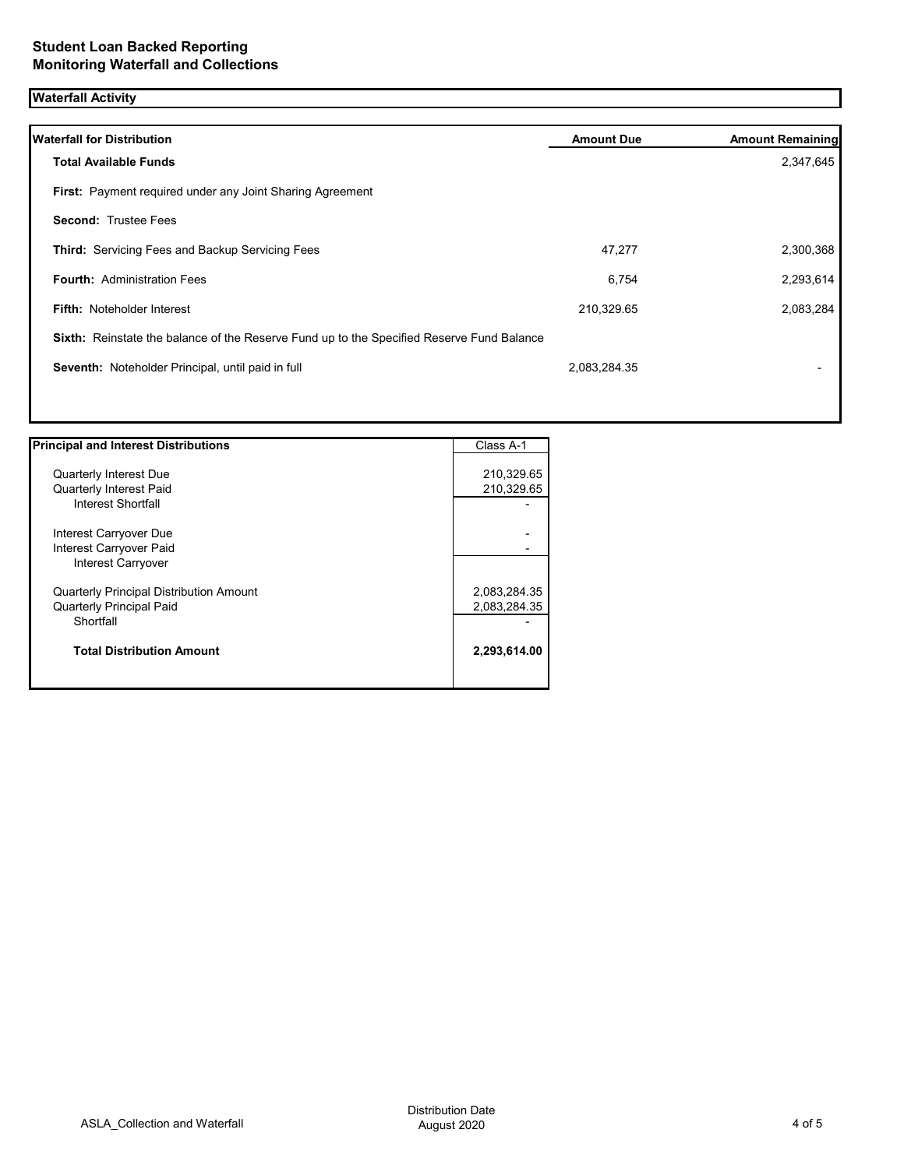# **Waterfall Activity**

| <b>Waterfall for Distribution</b>                                                         | <b>Amount Due</b> | <b>Amount Remaining</b> |
|-------------------------------------------------------------------------------------------|-------------------|-------------------------|
| <b>Total Available Funds</b>                                                              |                   | 2,347,645               |
| First: Payment required under any Joint Sharing Agreement                                 |                   |                         |
| <b>Second: Trustee Fees</b>                                                               |                   |                         |
| Third: Servicing Fees and Backup Servicing Fees                                           | 47,277            | 2,300,368               |
| <b>Fourth: Administration Fees</b>                                                        | 6,754             | 2,293,614               |
| <b>Fifth: Noteholder Interest</b>                                                         | 210,329.65        | 2,083,284               |
| Sixth: Reinstate the balance of the Reserve Fund up to the Specified Reserve Fund Balance |                   |                         |
| Seventh: Noteholder Principal, until paid in full                                         | 2,083,284.35      |                         |
|                                                                                           |                   |                         |
|                                                                                           |                   |                         |

| <b>Quarterly Interest Due</b><br><b>Quarterly Interest Paid</b> | 210,329.65<br>210,329.65 |
|-----------------------------------------------------------------|--------------------------|
|                                                                 |                          |
|                                                                 |                          |
|                                                                 |                          |
| Interest Shortfall                                              |                          |
| Interest Carryover Due                                          |                          |
| Interest Carryover Paid                                         |                          |
| Interest Carryover                                              |                          |
| <b>Quarterly Principal Distribution Amount</b>                  | 2,083,284.35             |
| <b>Quarterly Principal Paid</b>                                 | 2,083,284.35             |
| Shortfall                                                       |                          |
| <b>Total Distribution Amount</b>                                | 2,293,614.00             |

1